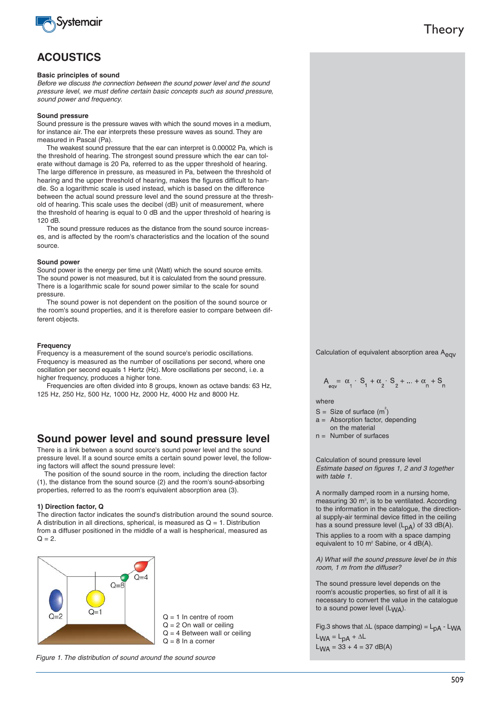

## **ACOUSTICS**

#### **Basic principles of sound**

Before we discuss the connection between the sound power level and the sound pressure level, we must define certain basic concepts such as sound pressure, sound power and frequency.

#### **Sound pressure**

Sound pressure is the pressure waves with which the sound moves in a medium, for instance air. The ear interprets these pressure waves as sound. They are measured in Pascal (Pa).

The weakest sound pressure that the ear can interpret is 0.00002 Pa, which is the threshold of hearing. The strongest sound pressure which the ear can tolerate without damage is 20 Pa, referred to as the upper threshold of hearing. The large difference in pressure, as measured in Pa, between the threshold of hearing and the upper threshold of hearing, makes the figures difficult to handle. So a logarithmic scale is used instead, which is based on the difference between the actual sound pressure level and the sound pressure at the threshold of hearing. This scale uses the decibel (dB) unit of measurement, where the threshold of hearing is equal to 0 dB and the upper threshold of hearing is 120 dB.

The sound pressure reduces as the distance from the sound source increases, and is affected by the room's characteristics and the location of the sound source.

#### **Sound power**

Sound power is the energy per time unit (Watt) which the sound source emits. The sound power is not measured, but it is calculated from the sound pressure. There is a logarithmic scale for sound power similar to the scale for sound pressure.

The sound power is not dependent on the position of the sound source or the room's sound properties, and it is therefore easier to compare between different objects.

#### **Frequency**

Frequency is a measurement of the sound source's periodic oscillations. Frequency is measured as the number of oscillations per second, where one oscillation per second equals 1 Hertz (Hz). More oscillations per second, i.e. a higher frequency, produces a higher tone.

Frequencies are often divided into 8 groups, known as octave bands: 63 Hz, 125 Hz, 250 Hz, 500 Hz, 1000 Hz, 2000 Hz, 4000 Hz and 8000 Hz.

## **Sound power level and sound pressure level**

There is a link between a sound source's sound power level and the sound pressure level. If a sound source emits a certain sound power level, the following factors will affect the sound pressure level:

The position of the sound source in the room, including the direction factor (1), the distance from the sound source (2) and the room's sound-absorbing properties, referred to as the room's equivalent absorption area (3).

#### **1) Direction factor, Q**

The direction factor indicates the sound's distribution around the sound source. A distribution in all directions, spherical, is measured as  $Q = 1$ . Distribution from a diffuser positioned in the middle of a wall is hespherical, measured as  $Q = 2.$ 



Figure 1. The distribution of sound around the sound source

Calculation of equivalent absorption area Aeqv

$$
A_{\text{eqv}} = \alpha_1 \cdot S_1 + \alpha_2 \cdot S_2 + \dots + \alpha_n + S_n
$$

where

- S = Size of surface  $(m^2)$
- a = Absorption factor, depending
- on the material
- $n =$  Number of surfaces

Calculation of sound pressure level Estimate based on figures 1, 2 and 3 together with table 1.

A normally damped room in a nursing home, measuring 30  $m^3$ , is to be ventilated. According to the information in the catalogue, the directional supply-air terminal device fitted in the ceiling has a sound pressure level  $(L_{DA})$  of 33 dB(A). This applies to a room with a space damping equivalent to 10 m<sup>2</sup> Sabine, or 4 dB(A).

A) What will the sound pressure level be in this room, 1 m from the diffuser?

The sound pressure level depends on the room's acoustic properties, so first of all it is necessary to convert the value in the catalogue to a sound power level  $(L_{WA})$ .

Fig.3 shows that  $\Delta L$  (space damping) =  $L_{DA}$  - L<sub>WA</sub>

 $L_{WA} = L_{pA} + \Delta L$  $L_{WA} = 33 + 4 = 37$  dB(A)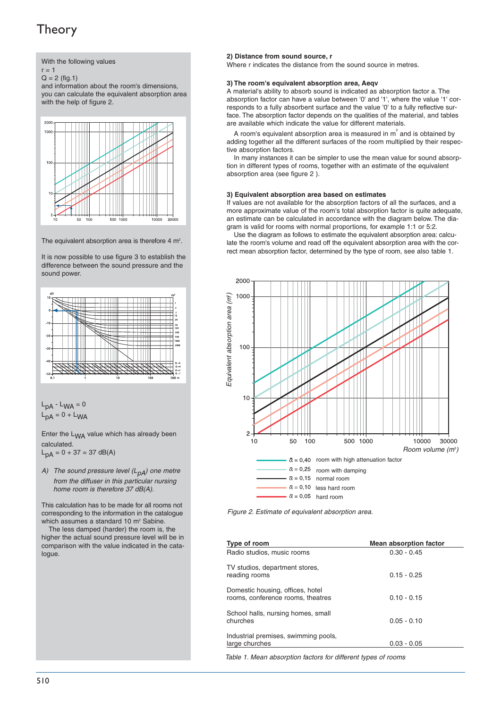

$$
r = 1
$$

 $Q = 2$  (fig.1)

and information about the room's dimensions, you can calculate the equivalent absorption area with the help of figure 2.



The equivalent absorption area is therefore 4  $m^2$ .

It is now possible to use figure 3 to establish the difference between the sound pressure and the sound power.



$$
L_{pA} - L_{WA} = 0
$$
  

$$
L_{pA} = 0 + L_{WA}
$$

Enter the L<sub>WA</sub> value which has already been calculated.  $L_{\text{DA}} = 0 + 37 = 37 \text{ dB(A)}$ 

A) The sound pressure level  $(L_{DA})$  one metre from the diffuser in this particular nursing home room is therefore 37 dB(A).

This calculation has to be made for all rooms not corresponding to the information in the catalogue which assumes a standard 10 m<sup>2</sup> Sabine.

The less damped (harder) the room is, the higher the actual sound pressure level will be in comparison with the value indicated in the catalogue.

#### **2) Distance from sound source, r**

Where r indicates the distance from the sound source in metres.

#### **3) The room's equivalent absorption area, Aeqv**

A material's ability to absorb sound is indicated as absorption factor a. The absorption factor can have a value between '0' and '1', where the value '1' corresponds to a fully absorbent surface and the value '0' to a fully reflective surface. The absorption factor depends on the qualities of the material, and tables are available which indicate the value for different materials.

A room's equivalent absorption area is measured in  $m<sup>2</sup>$  and is obtained by adding together all the different surfaces of the room multiplied by their respective absorption factors.

In many instances it can be simpler to use the mean value for sound absorption in different types of rooms, together with an estimate of the equivalent absorption area (see figure 2 ).

#### **3) Equivalent absorption area based on estimates**

If values are not available for the absorption factors of all the surfaces, and a more approximate value of the room's total absorption factor is quite adequate, an estimate can be calculated in accordance with the diagram below. The diagram is valid for rooms with normal proportions, for example 1:1 or 5:2.

Use the diagram as follows to estimate the equivalent absorption area: calculate the room's volume and read off the equivalent absorption area with the correct mean absorption factor, determined by the type of room, see also table 1.



| Type of room                                                          | <b>Mean absorption factor</b> |
|-----------------------------------------------------------------------|-------------------------------|
| Radio studios, music rooms                                            | $0.30 - 0.45$                 |
| TV studios, department stores,<br>reading rooms                       | $0.15 - 0.25$                 |
| Domestic housing, offices, hotel<br>rooms, conference rooms, theatres | $0.10 - 0.15$                 |
| School halls, nursing homes, small<br>churches                        | $0.05 - 0.10$                 |
| Industrial premises, swimming pools,<br>large churches                | $0.03 - 0.05$                 |

Table 1. Mean absorption factors for different types of rooms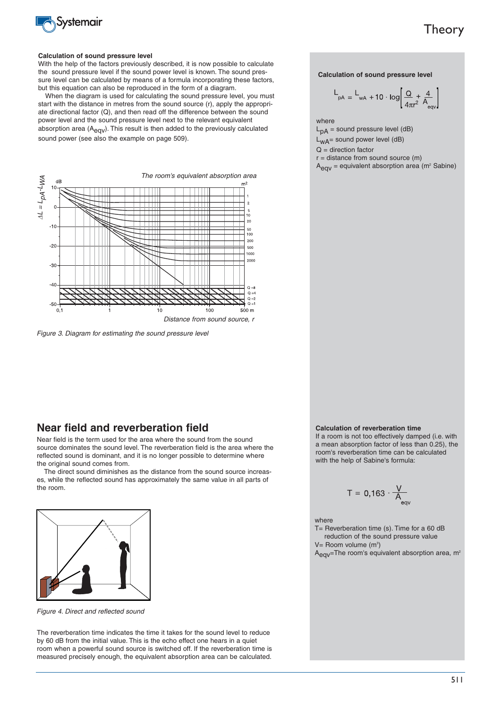

#### **Calculation of sound pressure level**

With the help of the factors previously described, it is now possible to calculate the sound pressure level if the sound power level is known. The sound pressure level can be calculated by means of a formula incorporating these factors, but this equation can also be reproduced in the form of a diagram.

When the diagram is used for calculating the sound pressure level, you must start with the distance in metres from the sound source (r), apply the appropriate directional factor (Q), and then read off the difference between the sound power level and the sound pressure level next to the relevant equivalent absorption area (A<sub>eav</sub>). This result is then added to the previously calculated sound power (see also the example on page 509).



Figure 3. Diagram for estimating the sound pressure level

### **Near field and reverberation field**

Near field is the term used for the area where the sound from the sound source dominates the sound level. The reverberation field is the area where the reflected sound is dominant, and it is no longer possible to determine where the original sound comes from.

The direct sound diminishes as the distance from the sound source increases, while the reflected sound has approximately the same value in all parts of the room.



Figure 4. Direct and reflected sound

The reverberation time indicates the time it takes for the sound level to reduce by 60 dB from the initial value. This is the echo effect one hears in a quiet room when a powerful sound source is switched off. If the reverberation time is measured precisely enough, the equivalent absorption area can be calculated. **Calculation of sound pressure level**

$$
L_{pA} = L_{wA} + 10 \cdot \log \left[ \frac{Q}{4\pi r^2} + \frac{4}{A_{\text{eqv}}} \right]
$$

where

 $L_{pA}$  = sound pressure level (dB)  $L_{WA}$ = sound power level (dB)  $Q =$  direction factor  $r =$  distance from sound source  $(m)$ 

 $A_{\text{eav}}$  = equivalent absorption area (m<sup>2</sup> Sabine)

#### **Calculation of reverberation time**

If a room is not too effectively damped (i.e. with a mean absorption factor of less than 0.25), the room's reverberation time can be calculated with the help of Sabine's formula:

$$
T = 0,163 \cdot \frac{V}{A_{\text{av}}}
$$

#### where

T= Reverberation time (s). Time for a 60 dB reduction of the sound pressure value V= Room volume (m<sup>3</sup>)

A<sub>eqv</sub>=The room's equivalent absorption area, m<sup>2</sup>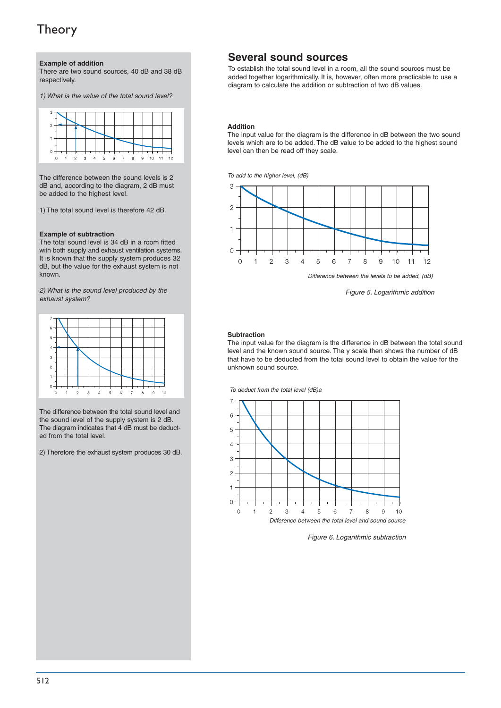**Example of addition**

There are two sound sources, 40 dB and 38 dB respectively.

1) What is the value of the total sound level?



The difference between the sound levels is 2 dB and, according to the diagram, 2 dB must be added to the highest level.

1) The total sound level is therefore 42 dB.

#### **Example of subtraction**

The total sound level is 34 dB in a room fitted with both supply and exhaust ventilation systems. It is known that the supply system produces 32 dB, but the value for the exhaust system is not known.

2) What is the sound level produced by the exhaust system?



The difference between the total sound level and the sound level of the supply system is 2 dB. The diagram indicates that 4 dB must be deducted from the total level.

2) Therefore the exhaust system produces 30 dB.

## **Several sound sources**

To establish the total sound level in a room, all the sound sources must be added together logarithmically. It is, however, often more practicable to use a diagram to calculate the addition or subtraction of two dB values.

#### **Addition**

The input value for the diagram is the difference in dB between the two sound levels which are to be added. The dB value to be added to the highest sound level can then be read off they scale.

To add to the higher level, (dB)



Figure 5. Logarithmic addition

#### **Subtraction**

The input value for the diagram is the difference in dB between the total sound level and the known sound source. The y scale then shows the number of dB that have to be deducted from the total sound level to obtain the value for the unknown sound source.

To deduct from the total level (dB)a



Figure 6. Logarithmic subtraction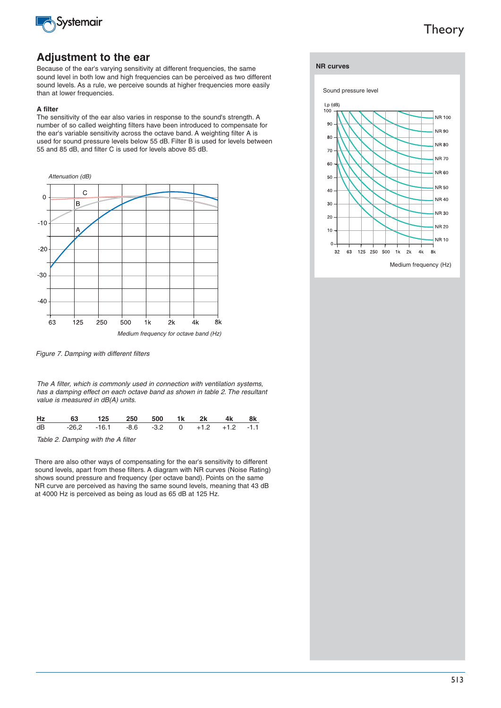

### **Adjustment to the ear**

Because of the ear's varying sensitivity at different frequencies, the same sound level in both low and high frequencies can be perceived as two different sound levels. As a rule, we perceive sounds at higher frequencies more easily than at lower frequencies.

#### **A filter**

The sensitivity of the ear also varies in response to the sound's strength. A number of so called weighting filters have been introduced to compensate for the ear's variable sensitivity across the octave band. A weighting filter A is used for sound pressure levels below 55 dB. Filter B is used for levels between 55 and 85 dB, and filter C is used for levels above 85 dB.



Figure 7. Damping with different filters

The A filter, which is commonly used in connection with ventilation systems, has a damping effect on each octave band as shown in table 2. The resultant value is measured in dB(A) units.

| Hz 63 125 250 500 1k 2k 4k 8k             |  |  |  |  |
|-------------------------------------------|--|--|--|--|
| dB -26.2 -16.1 -8.6 -3.2 0 +1.2 +1.2 -1.1 |  |  |  |  |

Table 2. Damping with the A filter

There are also other ways of compensating for the ear's sensitivity to different sound levels, apart from these filters. A diagram with NR curves (Noise Rating) shows sound pressure and frequency (per octave band). Points on the same NR curve are perceived as having the same sound levels, meaning that 43 dB at 4000 Hz is perceived as being as loud as 65 dB at 125 Hz.

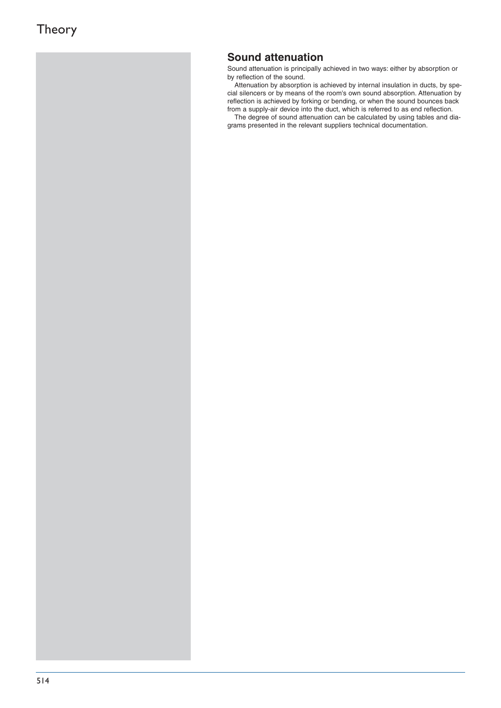## **Sound attenuation**

Sound attenuation is principally achieved in two ways: either by absorption or by reflection of the sound.

Attenuation by absorption is achieved by internal insulation in ducts, by special silencers or by means of the room's own sound absorption. Attenuation by reflection is achieved by forking or bending, or when the sound bounces back from a supply-air device into the duct, which is referred to as end reflection.

The degree of sound attenuation can be calculated by using tables and diagrams presented in the relevant suppliers technical documentation.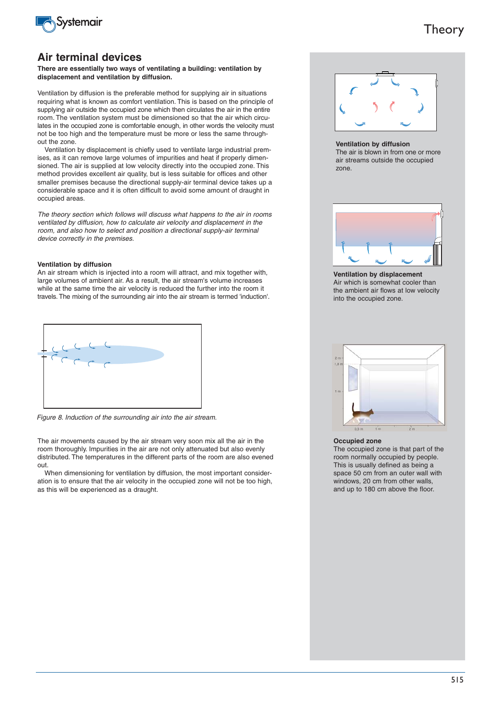

### **Air terminal devices**

**There are essentially two ways of ventilating a building: ventilation by displacement and ventilation by diffusion.**

Ventilation by diffusion is the preferable method for supplying air in situations requiring what is known as comfort ventilation. This is based on the principle of supplying air outside the occupied zone which then circulates the air in the entire room. The ventilation system must be dimensioned so that the air which circulates in the occupied zone is comfortable enough, in other words the velocity must not be too high and the temperature must be more or less the same throughout the zone.

Ventilation by displacement is chiefly used to ventilate large industrial premises, as it can remove large volumes of impurities and heat if properly dimensioned. The air is supplied at low velocity directly into the occupied zone. This method provides excellent air quality, but is less suitable for offices and other smaller premises because the directional supply-air terminal device takes up a considerable space and it is often difficult to avoid some amount of draught in occupied areas.

The theory section which follows will discuss what happens to the air in rooms ventilated by diffusion, how to calculate air velocity and displacement in the room, and also how to select and position a directional supply-air terminal device correctly in the premises.

#### **Ventilation by diffusion**

An air stream which is injected into a room will attract, and mix together with, large volumes of ambient air. As a result, the air stream's volume increases while at the same time the air velocity is reduced the further into the room it travels. The mixing of the surrounding air into the air stream is termed 'induction'.



Figure 8. Induction of the surrounding air into the air stream.

The air movements caused by the air stream very soon mix all the air in the room thoroughly. Impurities in the air are not only attenuated but also evenly distributed. The temperatures in the different parts of the room are also evened out.

When dimensioning for ventilation by diffusion, the most important consideration is to ensure that the air velocity in the occupied zone will not be too high, as this will be experienced as a draught.



**Ventilation by diffusion**

The air is blown in from one or more air streams outside the occupied zone.



**Ventilation by displacement** Air which is somewhat cooler than the ambient air flows at low velocity into the occupied zone.



#### **Occupied zone**

The occupied zone is that part of the room normally occupied by people. This is usually defined as being a space 50 cm from an outer wall with windows, 20 cm from other walls. and up to 180 cm above the floor.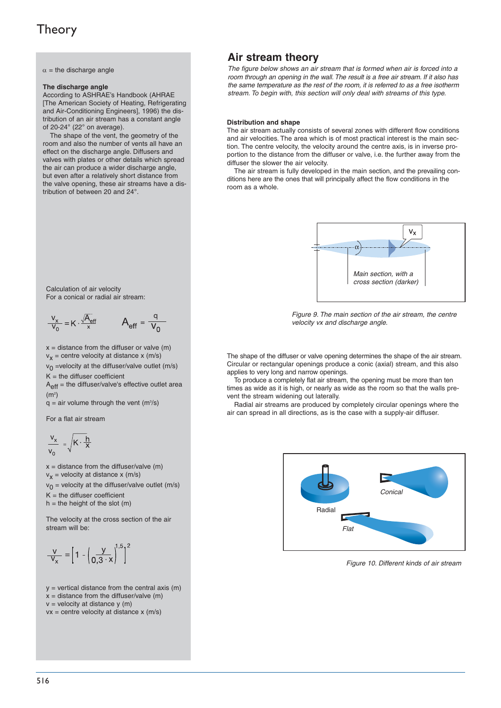$\alpha$  = the discharge angle

#### **The discharge angle**

According to ASHRAE's Handbook (AHRAE [The American Society of Heating, Refrigerating and Air-Conditioning Engineers], 1996) the distribution of an air stream has a constant angle of 20-24° (22° on average).

The shape of the vent, the geometry of the room and also the number of vents all have an effect on the discharge angle. Diffusers and valves with plates or other details which spread the air can produce a wider discharge angle, but even after a relatively short distance from the valve opening, these air streams have a distribution of between 20 and 24°.

Calculation of air velocity For a conical or radial air stream:

$$
\frac{v_x}{v_0} = K \cdot \frac{\sqrt{A_{\text{eff}}}}{x} \qquad A_{\text{eff}} = \frac{q}{v_0}
$$

 $x =$  distance from the diffuser or valve  $(m)$  $v_x$  = centre velocity at distance x (m/s)  $v_0$  =velocity at the diffuser/valve outlet (m/s)

 $K =$  the diffuser coefficient

 $A_{\text{eff}}$  = the diffuser/valve's effective outlet area  $(m<sup>2</sup>)$ 

 $q = air$  volume through the vent (m $\frac{3}{s}$ )

For a flat air stream

$$
\frac{v_x}{v_0} = \sqrt{K \cdot \frac{h}{X}}
$$

 $x =$  distance from the diffuser/valve (m)  $v_x$  = velocity at distance x (m/s)  $v_0$  = velocity at the diffuser/valve outlet (m/s)  $K =$  the diffuser coefficient

 $h =$  the height of the slot  $(m)$ 

The velocity at the cross section of the air stream will be:

$$
\frac{V}{V_x} = \left[1 - \left(\frac{V}{0.3 \cdot x}\right)^{1.5}\right]^2
$$

 $y =$  vertical distance from the central axis (m)  $x =$  distance from the diffuser/valve (m)  $v =$  velocity at distance  $y(m)$  $vx = centre$  velocity at distance  $x$  (m/s)

## **Air stream theory**

The figure below shows an air stream that is formed when air is forced into a room through an opening in the wall. The result is a free air stream. If it also has the same temperature as the rest of the room, it is referred to as a free isotherm stream. To begin with, this section will only deal with streams of this type.

#### **Distribution and shape**

The air stream actually consists of several zones with different flow conditions and air velocities. The area which is of most practical interest is the main section. The centre velocity, the velocity around the centre axis, is in inverse proportion to the distance from the diffuser or valve, i.e. the further away from the diffuser the slower the air velocity.

The air stream is fully developed in the main section, and the prevailing conditions here are the ones that will principally affect the flow conditions in the room as a whole.



Figure 9. The main section of the air stream, the centre velocity vx and discharge angle.

The shape of the diffuser or valve opening determines the shape of the air stream. Circular or rectangular openings produce a conic (axial) stream, and this also applies to very long and narrow openings.

To produce a completely flat air stream, the opening must be more than ten times as wide as it is high, or nearly as wide as the room so that the walls prevent the stream widening out laterally.

Radial air streams are produced by completely circular openings where the air can spread in all directions, as is the case with a supply-air diffuser.



Figure 10. Different kinds of air stream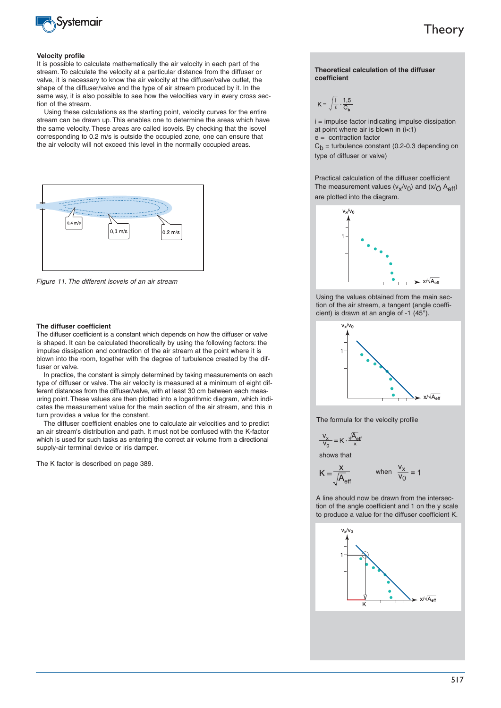

#### **Velocity profile**

It is possible to calculate mathematically the air velocity in each part of the stream. To calculate the velocity at a particular distance from the diffuser or valve, it is necessary to know the air velocity at the diffuser/valve outlet, the shape of the diffuser/valve and the type of air stream produced by it. In the same way, it is also possible to see how the velocities vary in every cross section of the stream.

Using these calculations as the starting point, velocity curves for the entire stream can be drawn up. This enables one to determine the areas which have the same velocity. These areas are called isovels. By checking that the isovel corresponding to 0.2 m/s is outside the occupied zone, one can ensure that the air velocity will not exceed this level in the normally occupied areas.



Figure 11. The different isovels of an air stream

#### **The diffuser coefficient**

The diffuser coefficient is a constant which depends on how the diffuser or valve is shaped. It can be calculated theoretically by using the following factors: the impulse dissipation and contraction of the air stream at the point where it is blown into the room, together with the degree of turbulence created by the diffuser or valve.

In practice, the constant is simply determined by taking measurements on each type of diffuser or valve. The air velocity is measured at a minimum of eight different distances from the diffuser/valve, with at least 30 cm between each measuring point. These values are then plotted into a logarithmic diagram, which indicates the measurement value for the main section of the air stream, and this in turn provides a value for the constant.

The diffuser coefficient enables one to calculate air velocities and to predict an air stream's distribution and path. It must not be confused with the K-factor which is used for such tasks as entering the correct air volume from a directional supply-air terminal device or iris damper.

The K factor is described on page 389.

#### **Theoretical calculation of the diffuser coefficient**

$$
K = \sqrt{\frac{i}{\epsilon}} \cdot \frac{1.5}{C_b}
$$

i = impulse factor indicating impulse dissipation at point where air is blown in  $(i<1)$ 

 $e =$  contraction factor

 $C_h$  = turbulence constant (0.2-0.3 depending on type of diffuser or valve)

Practical calculation of the diffuser coefficient The measurement values  $(v_x/v_0)$  and  $(x/\bar{C})$  A<sub>eff</sub>) are plotted into the diagram.



Using the values obtained from the main section of the air stream, a tangent (angle coefficient) is drawn at an angle of -1 (45°).



The formula for the velocity profile

$$
\frac{V_{x}}{V_{0}} = K \cdot \frac{\sqrt{A_{eff}}}{x}
$$

shows that

K

$$
=\frac{x}{\sqrt{A_{\text{eff}}}} \qquad \text{when } \frac{v_x}{v_0} = 1
$$

A line should now be drawn from the intersection of the angle coefficient and 1 on the y scale to produce a value for the diffuser coefficient K.

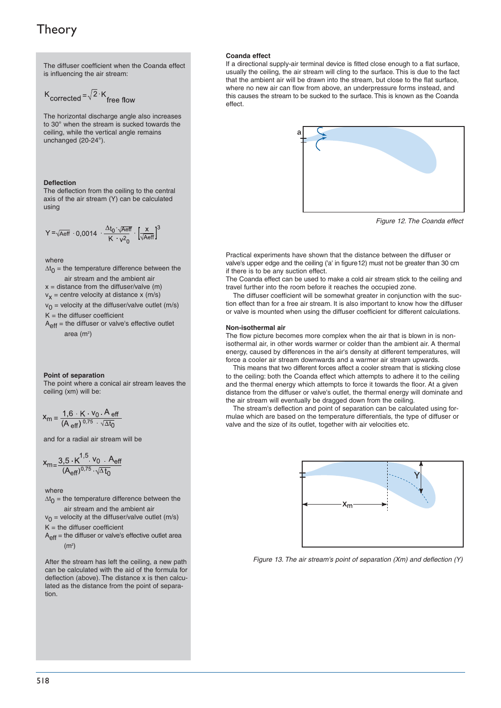The diffuser coefficient when the Coanda effect is influencing the air stream:

$$
K_{\text{corrected}} = \sqrt{2} \cdot K_{\text{free flow}}
$$

The horizontal discharge angle also increases to 30° when the stream is sucked towards the ceiling, while the vertical angle remains unchanged (20-24°).

#### **Deflection**

The deflection from the ceiling to the central axis of the air stream (Y) can be calculated using

$$
Y \equiv \sqrt{\text{Aeff}} \, \cdot 0,0014 \, \cdot \frac{\Delta t_0 \cdot \sqrt{\text{Aeff}}}{K \cdot v^2_0} \cdot \left[\frac{x}{\sqrt{\text{Aeff}}} \right]^3
$$

where

 $\Delta t_0$  = the temperature difference between the air stream and the ambient air  $x =$  distance from the diffuser/valve (m)  $v_x$  = centre velocity at distance x (m/s)  $v_0$  = velocity at the diffuser/valve outlet (m/s)

 $K =$  the diffuser coefficient  $A_{\text{eff}}$  = the diffuser or valve's effective outlet area (m $2$ )

#### **Point of separation**

The point where a conical air stream leaves the ceiling (xm) will be:

$$
x_m = \frac{1.6 \cdot K \cdot v_0 \cdot A_{eff}}{(A_{eff})^{0.75} \cdot \sqrt{\Delta t_0}}
$$

and for a radial air stream will be

$$
x_{m} = \frac{3.5 \text{ K}^{1.5} \text{ V}_0 \text{ A}_{eff}}{(A_{eff})^{0.75} \sqrt{\Delta t}_0}
$$

where

 $\Delta t_0$  = the temperature difference between the air stream and the ambient air

 $v_0$  = velocity at the diffuser/valve outlet (m/s)  $K =$  the diffuser coefficient

 $A_{\text{eff}}$  = the diffuser or valve's effective outlet area  $(m<sup>2</sup>)$ 

After the stream has left the ceiling, a new path can be calculated with the aid of the formula for deflection (above). The distance x is then calculated as the distance from the point of separation.

#### **Coanda effect**

If a directional supply-air terminal device is fitted close enough to a flat surface, usually the ceiling, the air stream will cling to the surface. This is due to the fact that the ambient air will be drawn into the stream, but close to the flat surface, where no new air can flow from above, an underpressure forms instead, and this causes the stream to be sucked to the surface. This is known as the Coanda effect.



Figure 12. The Coanda effect

Practical experiments have shown that the distance between the diffuser or valve's upper edge and the ceiling ('a' in figure12) must not be greater than 30 cm if there is to be any suction effect.

The Coanda effect can be used to make a cold air stream stick to the ceiling and travel further into the room before it reaches the occupied zone.

The diffuser coefficient will be somewhat greater in conjunction with the suction effect than for a free air stream. It is also important to know how the diffuser or valve is mounted when using the diffuser coefficient for different calculations.

#### **Non-isothermal air**

The flow picture becomes more complex when the air that is blown in is nonisothermal air, in other words warmer or colder than the ambient air. A thermal energy, caused by differences in the air's density at different temperatures, will force a cooler air stream downwards and a warmer air stream upwards.

This means that two different forces affect a cooler stream that is sticking close to the ceiling: both the Coanda effect which attempts to adhere it to the ceiling and the thermal energy which attempts to force it towards the floor. At a given distance from the diffuser or valve's outlet, the thermal energy will dominate and the air stream will eventually be dragged down from the ceiling.

The stream's deflection and point of separation can be calculated using formulae which are based on the temperature differentials, the type of diffuser or valve and the size of its outlet, together with air velocities etc.



Figure 13. The air stream's point of separation (Xm) and deflection (Y)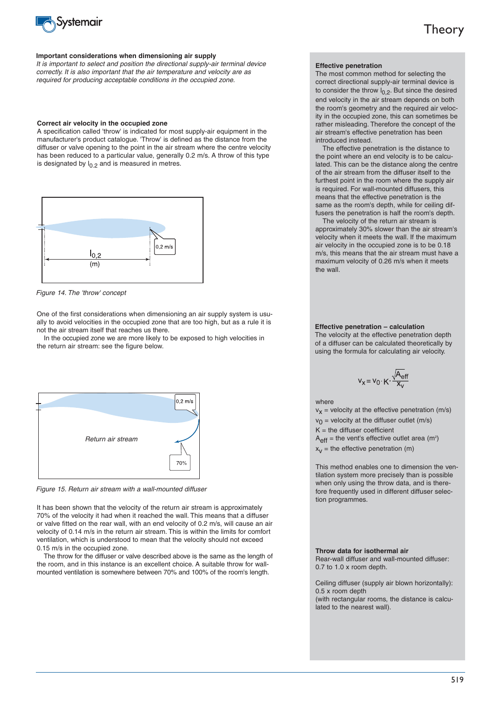

#### **Important considerations when dimensioning air supply**

It is important to select and position the directional supply-air terminal device correctly. It is also important that the air temperature and velocity are as required for producing acceptable conditions in the occupied zone.

#### **Correct air velocity in the occupied zone**

A specification called 'throw' is indicated for most supply-air equipment in the manufacturer's product catalogue. 'Throw' is defined as the distance from the diffuser or valve opening to the point in the air stream where the centre velocity has been reduced to a particular value, generally 0.2 m/s. A throw of this type is designated by  $I_{0.2}$  and is measured in metres.



Figure 14. The 'throw' concept

One of the first considerations when dimensioning an air supply system is usually to avoid velocities in the occupied zone that are too high, but as a rule it is not the air stream itself that reaches us there.

In the occupied zone we are more likely to be exposed to high velocities in the return air stream: see the figure below.



Figure 15. Return air stream with a wall-mounted diffuser

It has been shown that the velocity of the return air stream is approximately 70% of the velocity it had when it reached the wall. This means that a diffuser or valve fitted on the rear wall, with an end velocity of 0.2 m/s, will cause an air velocity of 0.14 m/s in the return air stream. This is within the limits for comfort ventilation, which is understood to mean that the velocity should not exceed 0.15 m/s in the occupied zone.

The throw for the diffuser or valve described above is the same as the length of the room, and in this instance is an excellent choice. A suitable throw for wallmounted ventilation is somewhere between 70% and 100% of the room's length.

#### **Effective penetration**

The most common method for selecting the correct directional supply-air terminal device is to consider the throw  $I_{0,2}$ . But since the desired end velocity in the air stream depends on both the room's geometry and the required air velocity in the occupied zone, this can sometimes be rather misleading. Therefore the concept of the air stream's effective penetration has been introduced instead.

The effective penetration is the distance to the point where an end velocity is to be calculated. This can be the distance along the centre of the air stream from the diffuser itself to the furthest point in the room where the supply air is required. For wall-mounted diffusers, this means that the effective penetration is the same as the room's depth, while for ceiling diffusers the penetration is half the room's depth.

The velocity of the return air stream is approximately 30% slower than the air stream's velocity when it meets the wall. If the maximum air velocity in the occupied zone is to be 0.18 m/s, this means that the air stream must have a maximum velocity of 0.26 m/s when it meets the wall.

#### **Effective penetration – calculation**

The velocity at the effective penetration depth of a diffuser can be calculated theoretically by using the formula for calculating air velocity.

$$
v_x = v_0 \cdot K \cdot \frac{\sqrt{A_{\text{eff}}}}{x_v}
$$

#### where

 $v_x$  = velocity at the effective penetration (m/s)  $v_0$  = velocity at the diffuser outlet (m/s)  $K =$  the diffuser coefficient

 $A_{\text{eff}}$  = the vent's effective outlet area (m<sup>2</sup>)

 $x_v$  = the effective penetration (m)

This method enables one to dimension the ventilation system more precisely than is possible when only using the throw data, and is therefore frequently used in different diffuser selection programmes.

#### **Throw data for isothermal air**

Rear-wall diffuser and wall-mounted diffuser: 0.7 to 1.0 x room depth.

Ceiling diffuser (supply air blown horizontally): 0.5 x room depth (with rectangular rooms, the distance is calculated to the nearest wall).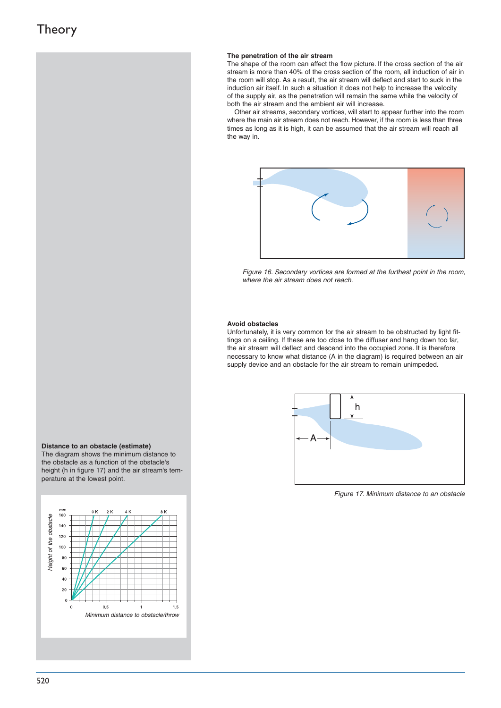#### **The penetration of the air stream**

The shape of the room can affect the flow picture. If the cross section of the air stream is more than 40% of the cross section of the room, all induction of air in the room will stop. As a result, the air stream will deflect and start to suck in the induction air itself. In such a situation it does not help to increase the velocity of the supply air, as the penetration will remain the same while the velocity of both the air stream and the ambient air will increase.

Other air streams, secondary vortices, will start to appear further into the room where the main air stream does not reach. However, if the room is less than three times as long as it is high, it can be assumed that the air stream will reach all the way in.



Figure 16. Secondary vortices are formed at the furthest point in the room, where the air stream does not reach.

#### **Avoid obstacles**

Unfortunately, it is very common for the air stream to be obstructed by light fittings on a ceiling. If these are too close to the diffuser and hang down too far, the air stream will deflect and descend into the occupied zone. It is therefore necessary to know what distance (A in the diagram) is required between an air supply device and an obstacle for the air stream to remain unimpeded.



Figure 17. Minimum distance to an obstacle

#### **Distance to an obstacle (estimate)**

The diagram shows the minimum distance to the obstacle as a function of the obstacle's height (h in figure 17) and the air stream's temperature at the lowest point.

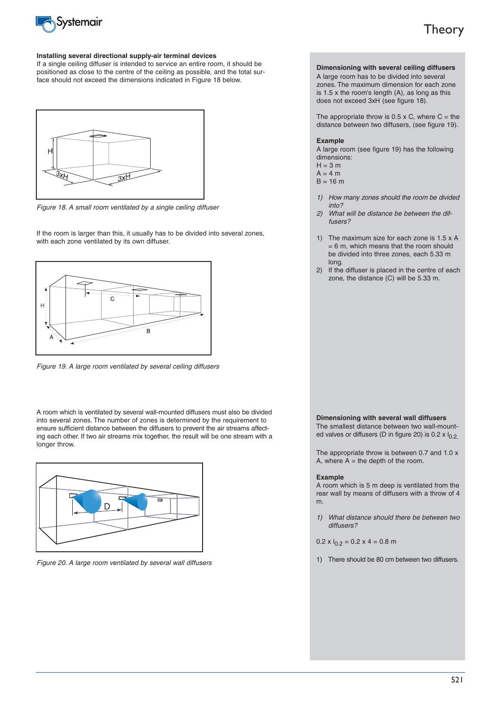

#### **Installing several directional supply-air terminal devices**

If a single ceiling diffuser is intended to service an entire room, it should be positioned as close to the centre of the ceiling as possible, and the total surface should not exceed the dimensions indicated in Figure 18 below.



Figure 18. A small room ventilated by a single ceiling diffuser

If the room is larger than this, it usually has to be divided into several zones, with each zone ventilated by its own diffuser.



Figure 19. A large room ventilated by several ceiling diffusers

A room which is ventilated by several wall-mounted diffusers must also be divided into several zones. The number of zones is determined by the requirement to ensure sufficient distance between the diffusers to prevent the air streams affecting each other. If two air streams mix together, the result will be one stream with a longer throw.



Figure 20. A large room ventilated by several wall diffusers

### **Dimensioning with several ceiling diffusers**

A large room has to be divided into several zones. The maximum dimension for each zone is 1.5 x the room's length (A), as long as this does not exceed 3xH (see figure 18).

The appropriate throw is 0.5 x C, where  $C =$  the distance between two diffusers, (see figure 19).

#### **Example**

A large room (see figure 19) has the following dimensions:

- $H = 3 m$
- $A 4 m$
- $B = 16 m$
- 1) How many zones should the room be divided into?
- 2) What will be distance be between the diffusers?
- 1) The maximum size for each zone is 1.5 x A  $= 6$  m, which means that the room should be divided into three zones, each 5.33 m long.
- 2) If the diffuser is placed in the centre of each zone, the distance (C) will be 5.33 m.

#### **Dimensioning with several wall diffusers**

The smallest distance between two wall-mounted valves or diffusers (D in figure 20) is  $0.2 \times I_{0.2}$ .

The appropriate throw is between 0.7 and 1.0 x A, where  $A =$  the depth of the room.

#### **Example**

A room which is 5 m deep is ventilated from the rear wall by means of diffusers with a throw of 4 m.

1) What distance should there be between two diffusers?

 $0.2 \times I_{0.2} = 0.2 \times 4 = 0.8 \text{ m}$ 

1) There should be 80 cm between two diffusers.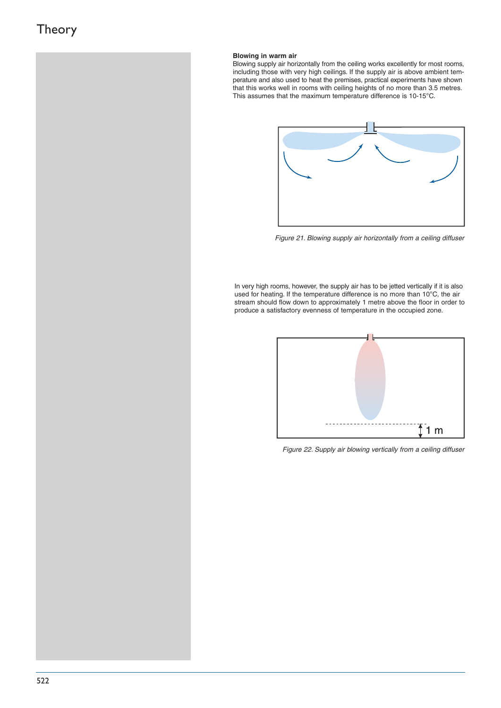### **Blowing in warm air**

Blowing supply air horizontally from the ceiling works excellently for most rooms, including those with very high ceilings. If the supply air is above ambient temperature and also used to heat the premises, practical experiments have shown that this works well in rooms with ceiling heights of no more than 3.5 metres. This assumes that the maximum temperature difference is 10-15°C.



Figure 21. Blowing supply air horizontally from a ceiling diffuser

In very high rooms, however, the supply air has to be jetted vertically if it is also used for heating. If the temperature difference is no more than 10°C, the air stream should flow down to approximately 1 metre above the floor in order to produce a satisfactory evenness of temperature in the occupied zone.



Figure 22. Supply air blowing vertically from a ceiling diffuser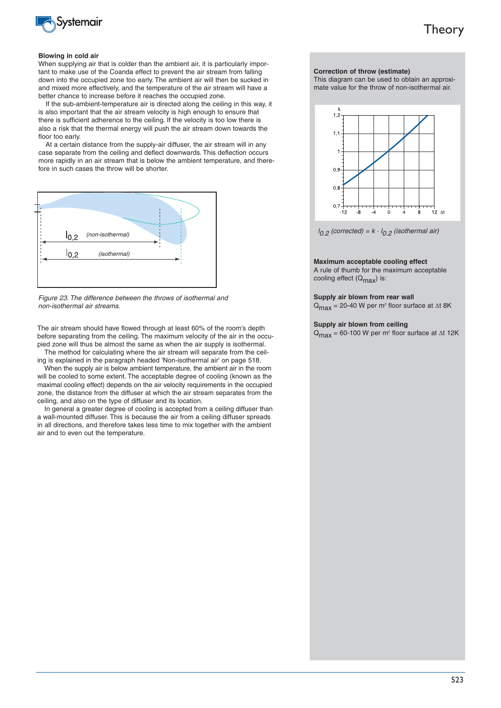

#### **Blowing in cold air**

When supplying air that is colder than the ambient air, it is particularly important to make use of the Coanda effect to prevent the air stream from falling down into the occupied zone too early. The ambient air will then be sucked in and mixed more effectively, and the temperature of the air stream will have a better chance to increase before it reaches the occupied zone.

If the sub-ambient-temperature air is directed along the ceiling in this way, it is also important that the air stream velocity is high enough to ensure that there is sufficient adherence to the ceiling. If the velocity is too low there is also a risk that the thermal energy will push the air stream down towards the floor too early.

At a certain distance from the supply-air diffuser, the air stream will in any case separate from the ceiling and deflect downwards. This deflection occurs more rapidly in an air stream that is below the ambient temperature, and therefore in such cases the throw will be shorter.



Figure 23. The difference between the throws of isothermal and non-isothermal air streams.

The air stream should have flowed through at least 60% of the room's depth before separating from the ceiling. The maximum velocity of the air in the occupied zone will thus be almost the same as when the air supply is isothermal.

The method for calculating where the air stream will separate from the ceiling is explained in the paragraph headed 'Non-isothermal air' on page 518.

When the supply air is below ambient temperature, the ambient air in the room will be cooled to some extent. The acceptable degree of cooling (known as the maximal cooling effect) depends on the air velocity requirements in the occupied zone, the distance from the diffuser at which the air stream separates from the ceiling, and also on the type of diffuser and its location.

In general a greater degree of cooling is accepted from a ceiling diffuser than a wall-mounted diffuser. This is because the air from a ceiling diffuser spreads in all directions, and therefore takes less time to mix together with the ambient air and to even out the temperature.

#### **Correction of throw (estimate)**

This diagram can be used to obtain an approximate value for the throw of non-isothermal air.



 $I_{0.2}$  (corrected) =  $k \cdot I_{0.2}$  (isothermal air)

#### **Maximum acceptable cooling effect**

A rule of thumb for the maximum acceptable cooling effect  $(Q_{\text{max}})$  is:

#### **Supply air blown from rear wall**

 $Q_{\text{max}}$  = 20-40 W per m<sup>2</sup> floor surface at  $\Delta t$  8K

#### **Supply air blown from ceiling**

 $Q_{\text{max}}$  = 60-100 W per m<sup>2</sup> floor surface at  $\Delta t$  12K